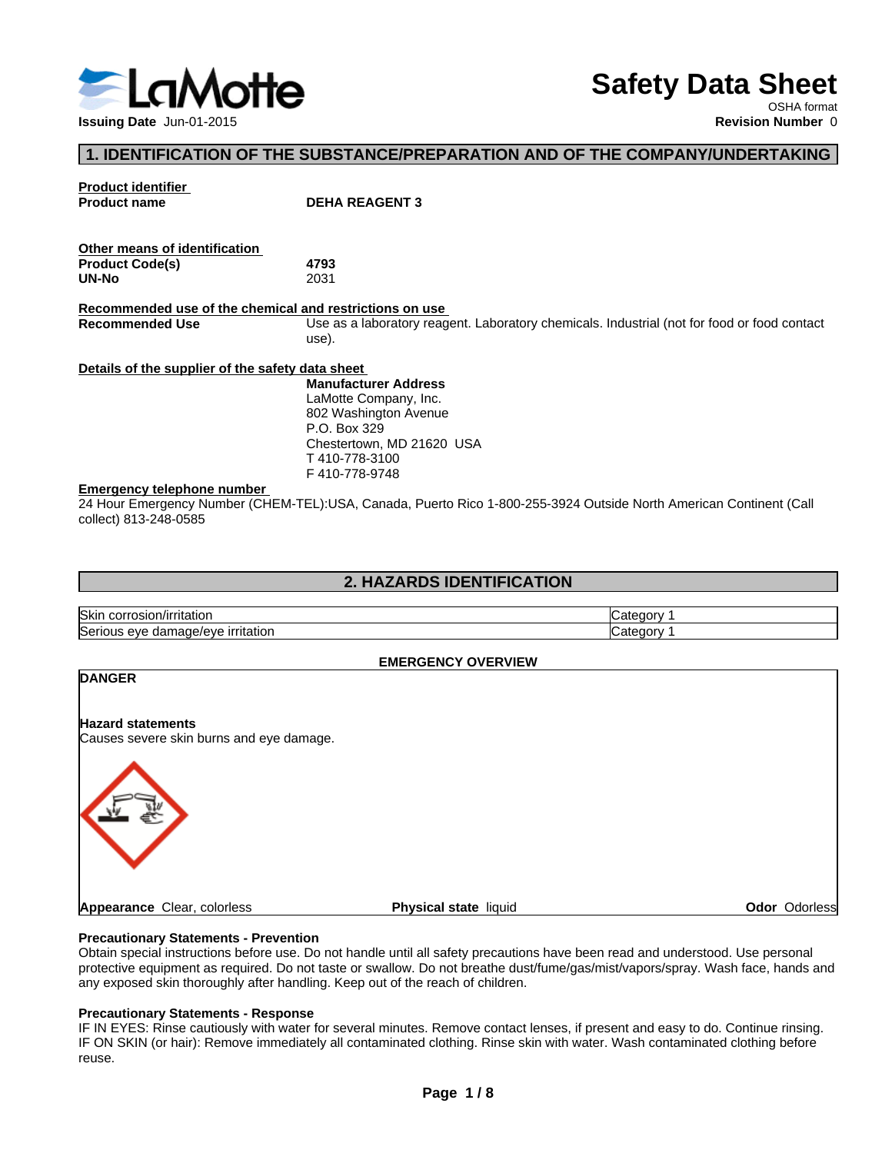

# **Safety Data Sheet**

OSHA format<br>Revision Number 0

### **1. IDENTIFICATION OF THE SUBSTANCE/PREPARATION AND OF THE COMPANY/UNDERTAKING**

**Product identifier**

**PEHA REAGENT 3** 

| Other means of identification |      |  |
|-------------------------------|------|--|
| <b>Product Code(s)</b>        | 4793 |  |
| UN-No                         | 2031 |  |

**Recommended use of the chemical and restrictions on use** Use as a laboratory reagent. Laboratory chemicals. Industrial (not for food or food contact use).

**Details of the supplier of the safety data sheet**

**Manufacturer Address** LaMotte Company, Inc.

802 Washington Avenue P.O. Box 329 Chestertown, MD 21620 USA T 410-778-3100 F 410-778-9748

### **Emergency telephone number**

24 Hour Emergency Number (CHEM-TEL):USA, Canada, Puerto Rico 1-800-255-3924 Outside North American Continent (Call collect) 813-248-0585

### **2. HAZARDS IDENTIFICATION**

| <b>Skir</b><br>.cor<br>niauor<br><b>USIU</b>                                  |  |
|-------------------------------------------------------------------------------|--|
| امکا<br>$11.111 + 4.111$<br>tatıor،<br>.<br>eve<br>ш<br>ाता<br>$\overline{a}$ |  |

### **EMERGENCY OVERVIEW**

| <b>DANGER</b>                            |                       |               |
|------------------------------------------|-----------------------|---------------|
| <b>Hazard statements</b>                 |                       |               |
| Causes severe skin burns and eye damage. |                       |               |
|                                          |                       |               |
|                                          |                       |               |
| Appearance Clear, colorless              | Physical state liquid | Odor Odorless |

### **Precautionary Statements - Prevention**

Obtain special instructions before use. Do not handle until all safety precautions have been read and understood. Use personal protective equipment as required. Do not taste or swallow. Do not breathe dust/fume/gas/mist/vapors/spray. Wash face, hands and any exposed skin thoroughly after handling. Keep out of the reach of children.

### **Precautionary Statements - Response**

IF IN EYES: Rinse cautiously with water for several minutes. Remove contact lenses, if present and easy to do. Continue rinsing. IF ON SKIN (or hair): Remove immediately all contaminated clothing. Rinse skin with water. Wash contaminated clothing before reuse.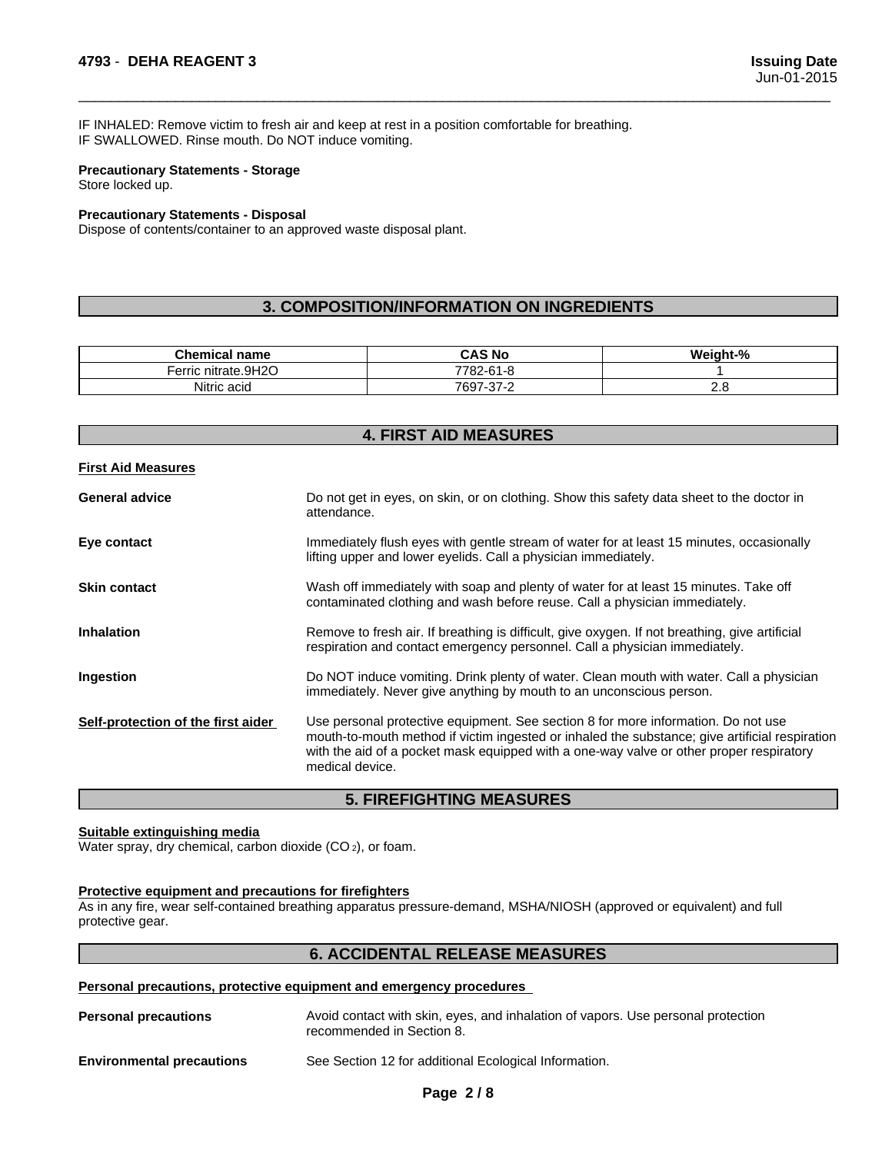IF INHALED: Remove victim to fresh air and keep at rest in a position comfortable for breathing. IF SWALLOWED. Rinse mouth. Do NOT induce vomiting.

### **Precautionary Statements - Storage** Store locked up.

### **Precautionary Statements - Disposal**

Dispose of contents/container to an approved waste disposal plant.

### **3. COMPOSITION/INFORMATION ON INGREDIENTS**

 $\overline{\phantom{a}}$  ,  $\overline{\phantom{a}}$  ,  $\overline{\phantom{a}}$  ,  $\overline{\phantom{a}}$  ,  $\overline{\phantom{a}}$  ,  $\overline{\phantom{a}}$  ,  $\overline{\phantom{a}}$  ,  $\overline{\phantom{a}}$  ,  $\overline{\phantom{a}}$  ,  $\overline{\phantom{a}}$  ,  $\overline{\phantom{a}}$  ,  $\overline{\phantom{a}}$  ,  $\overline{\phantom{a}}$  ,  $\overline{\phantom{a}}$  ,  $\overline{\phantom{a}}$  ,  $\overline{\phantom{a}}$ 

| <b>Chemical name</b>                  | ີ AS No                                             | О.<br><br><b>Neight-</b> "<br>- 70 |
|---------------------------------------|-----------------------------------------------------|------------------------------------|
| nitrate.9H2O<br>$ \alpha$ rr<br>erric | 7700<br>$\sim$ $\sim$<br>-<br>$\cdots$<br>ം∠-∽<br>. |                                    |
| 2.111<br>Nitric acid                  | $\sim$ $\sim$ $\sim$<br>7697<br>-<br>ـہ-≀د-′        | <u>. . u</u>                       |

| <b>4. FIRST AID MEASURES</b>       |                                                                                                                                                                                                                                                                                                   |  |
|------------------------------------|---------------------------------------------------------------------------------------------------------------------------------------------------------------------------------------------------------------------------------------------------------------------------------------------------|--|
| <b>First Aid Measures</b>          |                                                                                                                                                                                                                                                                                                   |  |
| <b>General advice</b>              | Do not get in eyes, on skin, or on clothing. Show this safety data sheet to the doctor in<br>attendance.                                                                                                                                                                                          |  |
| Eye contact                        | Immediately flush eyes with gentle stream of water for at least 15 minutes, occasionally<br>lifting upper and lower eyelids. Call a physician immediately.                                                                                                                                        |  |
| <b>Skin contact</b>                | Wash off immediately with soap and plenty of water for at least 15 minutes. Take off<br>contaminated clothing and wash before reuse. Call a physician immediately.                                                                                                                                |  |
| <b>Inhalation</b>                  | Remove to fresh air. If breathing is difficult, give oxygen. If not breathing, give artificial<br>respiration and contact emergency personnel. Call a physician immediately.                                                                                                                      |  |
| Ingestion                          | Do NOT induce vomiting. Drink plenty of water. Clean mouth with water. Call a physician<br>immediately. Never give anything by mouth to an unconscious person.                                                                                                                                    |  |
| Self-protection of the first aider | Use personal protective equipment. See section 8 for more information. Do not use<br>mouth-to-mouth method if victim ingested or inhaled the substance; give artificial respiration<br>with the aid of a pocket mask equipped with a one-way valve or other proper respiratory<br>medical device. |  |

### **5. FIREFIGHTING MEASURES**

### **Suitable extinguishing media**

Water spray, dry chemical, carbon dioxide (CO<sub>2</sub>), or foam.

#### **Protective equipment and precautions for firefighters**

As in any fire, wear self-contained breathing apparatus pressure-demand, MSHA/NIOSH (approved or equivalent) and full protective gear.

### **6. ACCIDENTAL RELEASE MEASURES**

**Personal precautions, protective equipment and emergency procedures**

| <b>Personal precautions</b>      | Avoid contact with skin, eyes, and inhalation of vapors. Use personal protection<br>recommended in Section 8. |
|----------------------------------|---------------------------------------------------------------------------------------------------------------|
| <b>Environmental precautions</b> | See Section 12 for additional Ecological Information.                                                         |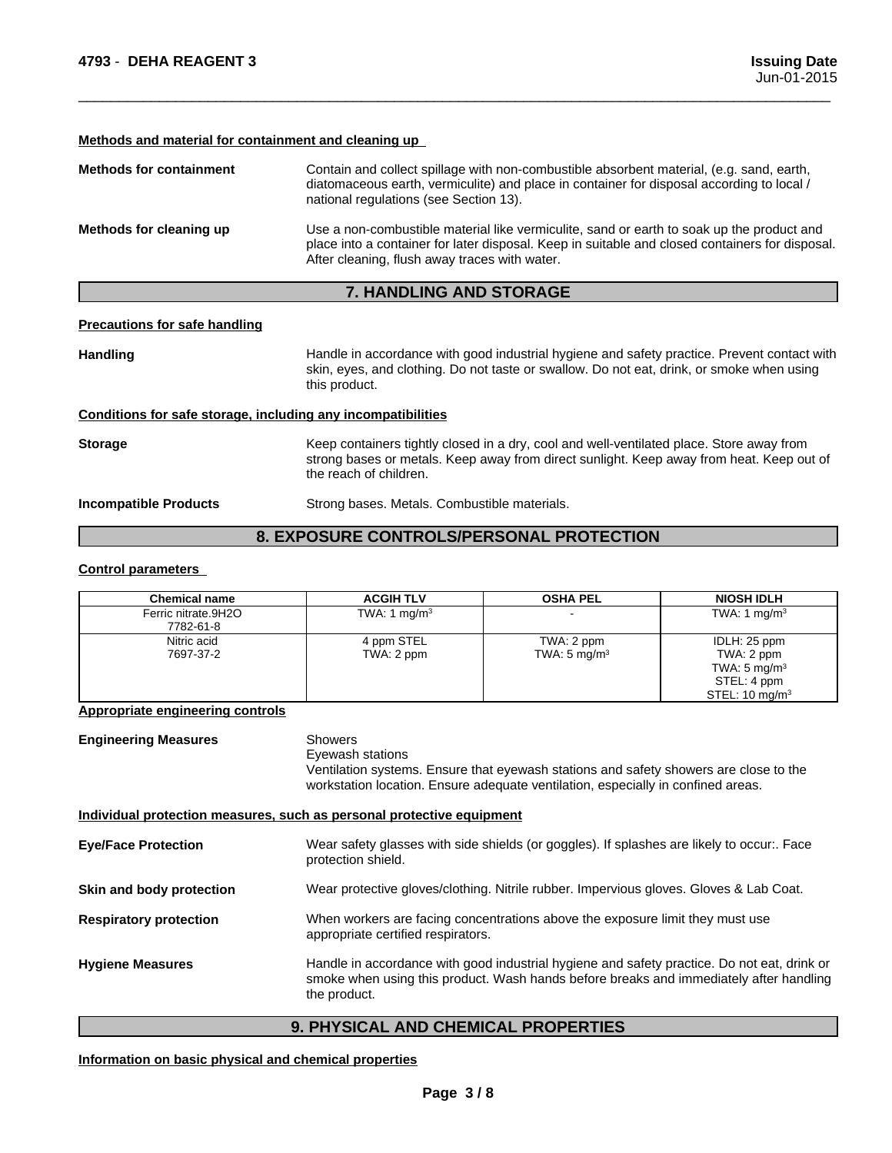#### **Methods and material for containment and cleaning up**

| <b>Methods for containment</b> | Contain and collect spillage with non-combustible absorbent material, (e.g. sand, earth,<br>diatomaceous earth, vermiculite) and place in container for disposal according to local /<br>national regulations (see Section 13).               |
|--------------------------------|-----------------------------------------------------------------------------------------------------------------------------------------------------------------------------------------------------------------------------------------------|
| Methods for cleaning up        | Use a non-combustible material like vermiculite, sand or earth to soak up the product and<br>place into a container for later disposal. Keep in suitable and closed containers for disposal.<br>After cleaning, flush away traces with water. |

### **7. HANDLING AND STORAGE**

#### **Precautions for safe handling**

Handling **Handle in accordance with good industrial hygiene and safety practice. Prevent contact with and the same contact with** skin, eyes, and clothing. Do not taste or swallow. Do not eat, drink, or smoke when using this product.

 $\overline{\phantom{a}}$  ,  $\overline{\phantom{a}}$  ,  $\overline{\phantom{a}}$  ,  $\overline{\phantom{a}}$  ,  $\overline{\phantom{a}}$  ,  $\overline{\phantom{a}}$  ,  $\overline{\phantom{a}}$  ,  $\overline{\phantom{a}}$  ,  $\overline{\phantom{a}}$  ,  $\overline{\phantom{a}}$  ,  $\overline{\phantom{a}}$  ,  $\overline{\phantom{a}}$  ,  $\overline{\phantom{a}}$  ,  $\overline{\phantom{a}}$  ,  $\overline{\phantom{a}}$  ,  $\overline{\phantom{a}}$ 

#### **Conditions for safe storage, including any incompatibilities**

**Storage** Keep containers tightly closed in a dry, cool and well-ventilated place. Store away from strong bases or metals. Keep away from direct sunlight. Keep away from heat. Keep out of the reach of children.

**Incompatible Products** Strong bases. Metals. Combustible materials.

### **8. EXPOSURE CONTROLS/PERSONAL PROTECTION**

### **Control parameters**

| <b>Chemical name</b>             | <b>ACGIH TLV</b>         | <b>OSHA PEL</b>                       | <b>NIOSH IDLH</b>                                                                                 |
|----------------------------------|--------------------------|---------------------------------------|---------------------------------------------------------------------------------------------------|
| Ferric nitrate.9H2O<br>7782-61-8 | TWA: 1 $mg/m3$           |                                       | TWA: 1 mg/m $3$                                                                                   |
| Nitric acid<br>7697-37-2         | 4 ppm STEL<br>TWA: 2 ppm | TWA: 2 ppm<br>TWA: $5 \text{ mg/m}^3$ | IDLH: 25 ppm<br>TWA: 2 ppm<br>TWA: $5 \text{ mg/m}^3$<br>STEL: 4 ppm<br>STEL: $10 \text{ mg/m}^3$ |

### **Appropriate engineering controls**

| <b>Engineering Measures</b>   | <b>Showers</b><br>Eyewash stations<br>Ventilation systems. Ensure that eyewash stations and safety showers are close to the<br>workstation location. Ensure adequate ventilation, especially in confined areas. |  |
|-------------------------------|-----------------------------------------------------------------------------------------------------------------------------------------------------------------------------------------------------------------|--|
|                               | Individual protection measures, such as personal protective equipment                                                                                                                                           |  |
| <b>Eye/Face Protection</b>    | Wear safety glasses with side shields (or goggles). If splashes are likely to occur:. Face<br>protection shield.                                                                                                |  |
| Skin and body protection      | Wear protective gloves/clothing. Nitrile rubber. Impervious gloves. Gloves & Lab Coat.                                                                                                                          |  |
| <b>Respiratory protection</b> | When workers are facing concentrations above the exposure limit they must use<br>appropriate certified respirators.                                                                                             |  |
| <b>Hygiene Measures</b>       | Handle in accordance with good industrial hygiene and safety practice. Do not eat, drink or<br>smoke when using this product. Wash hands before breaks and immediately after handling<br>the product.           |  |

### **9. PHYSICAL AND CHEMICAL PROPERTIES**

### **Information on basic physical and chemical properties**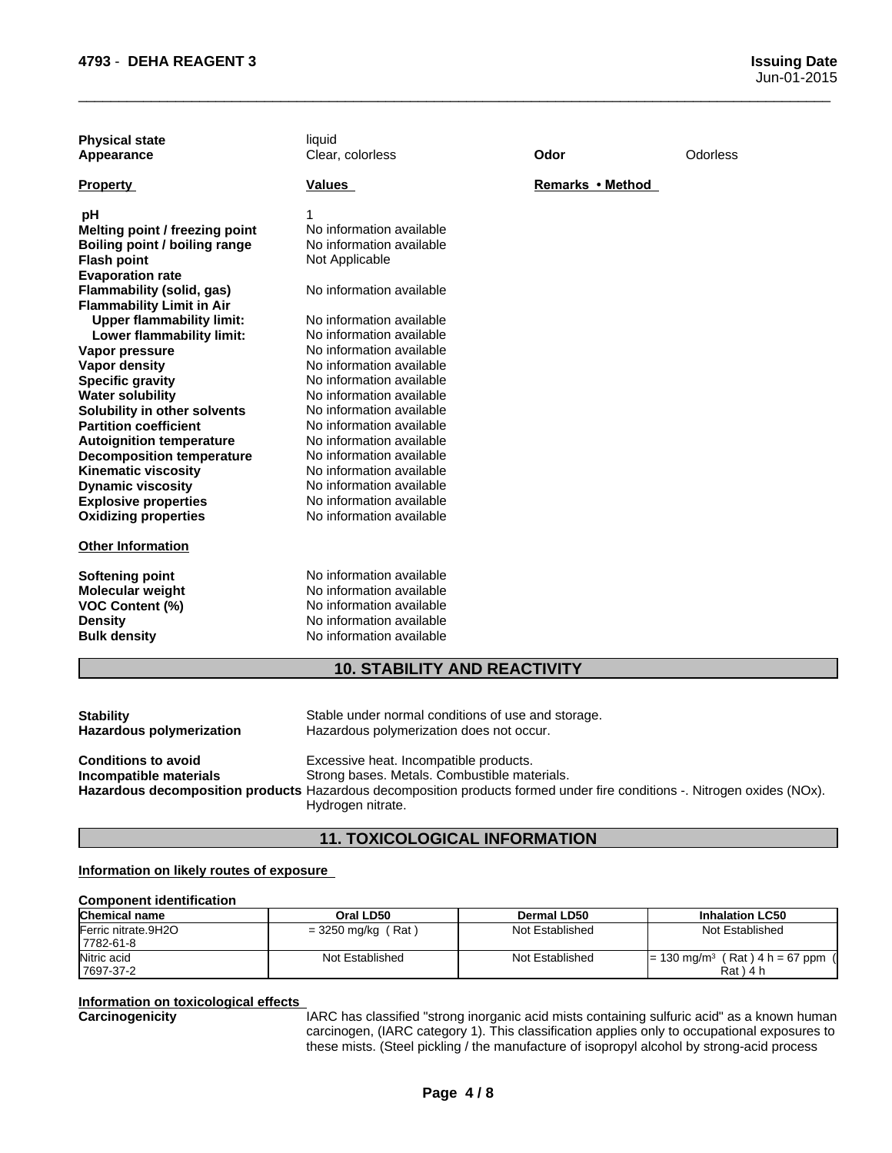|                                  |                                     | Odor             | Odorless |
|----------------------------------|-------------------------------------|------------------|----------|
| <b>Property</b>                  | <b>Values</b>                       | Remarks • Method |          |
| рH                               |                                     |                  |          |
| Melting point / freezing point   | No information available            |                  |          |
| Boiling point / boiling range    | No information available            |                  |          |
| <b>Flash point</b>               | Not Applicable                      |                  |          |
| <b>Evaporation rate</b>          |                                     |                  |          |
| Flammability (solid, gas)        | No information available            |                  |          |
| <b>Flammability Limit in Air</b> |                                     |                  |          |
| <b>Upper flammability limit:</b> | No information available            |                  |          |
| Lower flammability limit:        | No information available            |                  |          |
| Vapor pressure                   | No information available            |                  |          |
| <b>Vapor density</b>             | No information available            |                  |          |
| <b>Specific gravity</b>          | No information available            |                  |          |
| <b>Water solubility</b>          | No information available            |                  |          |
| Solubility in other solvents     | No information available            |                  |          |
| <b>Partition coefficient</b>     | No information available            |                  |          |
| <b>Autoignition temperature</b>  | No information available            |                  |          |
| <b>Decomposition temperature</b> | No information available            |                  |          |
| <b>Kinematic viscosity</b>       | No information available            |                  |          |
| <b>Dynamic viscosity</b>         | No information available            |                  |          |
| <b>Explosive properties</b>      | No information available            |                  |          |
| <b>Oxidizing properties</b>      | No information available            |                  |          |
| <b>Other Information</b>         |                                     |                  |          |
| <b>Softening point</b>           | No information available            |                  |          |
| Molecular weight                 | No information available            |                  |          |
| <b>VOC Content (%)</b>           | No information available            |                  |          |
| <b>Density</b>                   | No information available            |                  |          |
| <b>Bulk density</b>              | No information available            |                  |          |
|                                  | <b>10. STABILITY AND REACTIVITY</b> |                  |          |

 $\overline{\phantom{a}}$  ,  $\overline{\phantom{a}}$  ,  $\overline{\phantom{a}}$  ,  $\overline{\phantom{a}}$  ,  $\overline{\phantom{a}}$  ,  $\overline{\phantom{a}}$  ,  $\overline{\phantom{a}}$  ,  $\overline{\phantom{a}}$  ,  $\overline{\phantom{a}}$  ,  $\overline{\phantom{a}}$  ,  $\overline{\phantom{a}}$  ,  $\overline{\phantom{a}}$  ,  $\overline{\phantom{a}}$  ,  $\overline{\phantom{a}}$  ,  $\overline{\phantom{a}}$  ,  $\overline{\phantom{a}}$ 

| <b>Stability</b>                              | Stable under normal conditions of use and storage.                                                                                                                                                                                      |
|-----------------------------------------------|-----------------------------------------------------------------------------------------------------------------------------------------------------------------------------------------------------------------------------------------|
| Hazardous polymerization                      | Hazardous polymerization does not occur.                                                                                                                                                                                                |
| Conditions to avoid<br>Incompatible materials | Excessive heat. Incompatible products.<br>Strong bases. Metals. Combustible materials.<br>Hazardous decomposition products Hazardous decomposition products formed under fire conditions -. Nitrogen oxides (NOx).<br>Hydrogen nitrate. |

## **11. TOXICOLOGICAL INFORMATION**

### **Information on likely routes of exposure**

### **Component identification**

| <b>Chemical name</b> | Oral LD50            | Dermal LD50     | <b>Inhalation LC50</b>                                     |
|----------------------|----------------------|-----------------|------------------------------------------------------------|
| Ferric nitrate.9H2O  | $=$ 3250 mg/kg (Rat) | Not Established | Not Established                                            |
| 7782-61-8            |                      |                 |                                                            |
| Nitric acid          | Not Established      | Not Established | $(Rat)$ 4 h = 67 ppm<br>$I = 130$ mg/m <sup>3</sup> $\ell$ |
| 17697-37-2           |                      |                 | $Rat$ ) 4 h                                                |

# **Information on toxicological effects**

IARC has classified "strong inorganic acid mists containing sulfuric acid" as a known human carcinogen, (IARC category 1). This classification applies only to occupational exposures to these mists. (Steel pickling / the manufacture of isopropyl alcohol by strong-acid process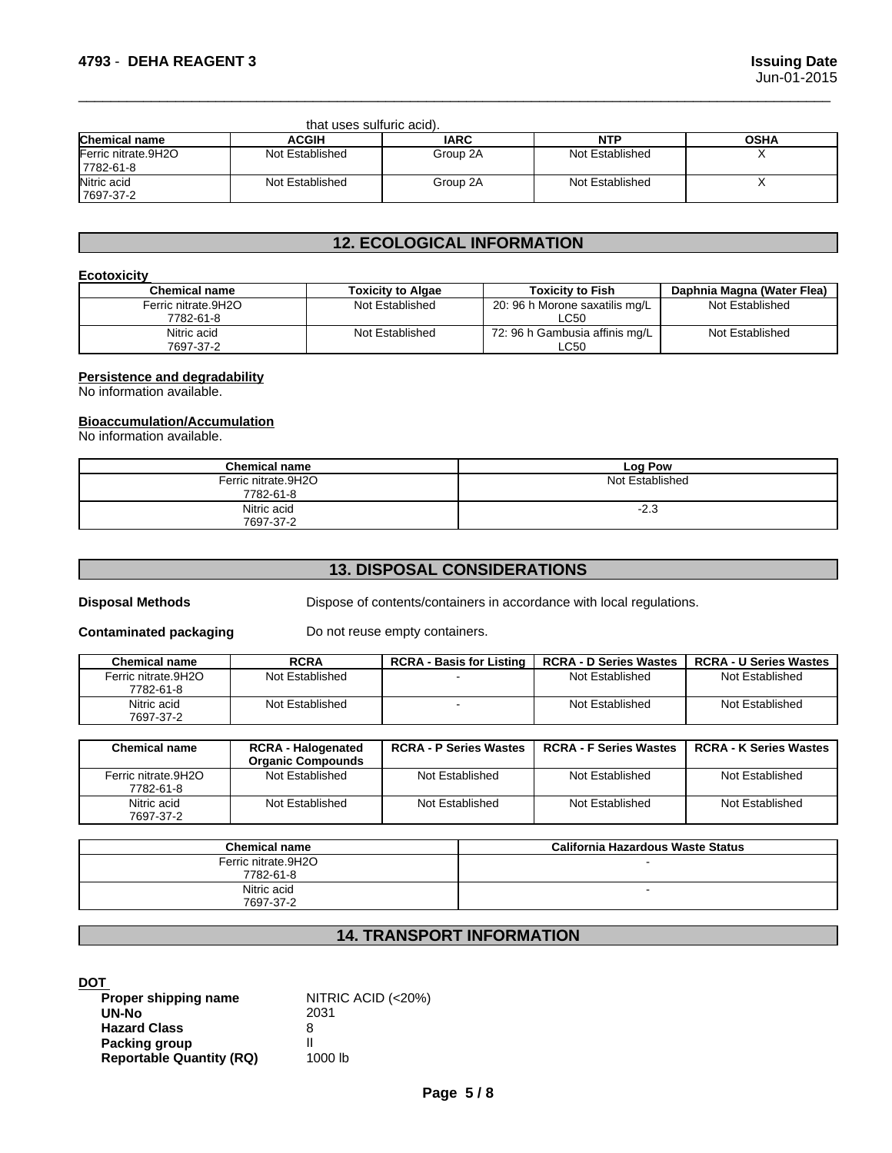| that uses sulfuric acid).        |                 |             |                 |             |
|----------------------------------|-----------------|-------------|-----------------|-------------|
| <b>Chemical name</b>             | <b>ACGIH</b>    | <b>IARC</b> | <b>NTP</b>      | <b>OSHA</b> |
| Ferric nitrate.9H2O<br>7782-61-8 | Not Established | Group 2A    | Not Established |             |
| Nitric acid<br>7697-37-2         | Not Established | Group 2A    | Not Established |             |

 $\overline{\phantom{a}}$  ,  $\overline{\phantom{a}}$  ,  $\overline{\phantom{a}}$  ,  $\overline{\phantom{a}}$  ,  $\overline{\phantom{a}}$  ,  $\overline{\phantom{a}}$  ,  $\overline{\phantom{a}}$  ,  $\overline{\phantom{a}}$  ,  $\overline{\phantom{a}}$  ,  $\overline{\phantom{a}}$  ,  $\overline{\phantom{a}}$  ,  $\overline{\phantom{a}}$  ,  $\overline{\phantom{a}}$  ,  $\overline{\phantom{a}}$  ,  $\overline{\phantom{a}}$  ,  $\overline{\phantom{a}}$ 

### **12. ECOLOGICAL INFORMATION**

### **Ecotoxicity**

| <b>Chemical name</b> | <b>Toxicity to Algae</b> | <b>Toxicity to Fish</b>        | Daphnia Magna (Water Flea) |
|----------------------|--------------------------|--------------------------------|----------------------------|
| Ferric nitrate.9H2O  | Not Established          | 20: 96 h Morone saxatilis mg/L | Not Established            |
| 7782-61-8            |                          | LC50                           |                            |
| Nitric acid          | Not Established          | 72: 96 h Gambusia affinis mg/L | Not Established            |
| 7697-37-2            |                          | LC50                           |                            |

### **Persistence and degradability**

No information available.

### **Bioaccumulation/Accumulation**

No information available.

| <b>Chemical name</b> | Log Pow         |
|----------------------|-----------------|
| Ferric nitrate.9H2O  | Not Established |
| 7782-61-8            |                 |
| Nitric acid          | $-2.3$          |
| 7697-37-2            |                 |

## **13. DISPOSAL CONSIDERATIONS**

**Disposal Methods** Dispose of contents/containers in accordance with local regulations.

**Contaminated packaging** Do not reuse empty containers.

| <b>Chemical name</b> | <b>RCRA</b>     | <b>RCRA - Basis for Listing</b> | <b>RCRA - D Series Wastes</b> | <b>RCRA - U Series Wastes</b> |
|----------------------|-----------------|---------------------------------|-------------------------------|-------------------------------|
| Ferric nitrate.9H2O  | Not Established |                                 | Not Established               | Not Established               |
| 7782-61-8            |                 |                                 |                               |                               |
| Nitric acid          | Not Established |                                 | Not Established               | Not Established               |
| 7697-37-2            |                 |                                 |                               |                               |

| <b>Chemical name</b> | <b>RCRA - Halogenated</b><br><b>Organic Compounds</b> | <b>RCRA - P Series Wastes</b> | <b>RCRA - F Series Wastes</b> | <b>RCRA - K Series Wastes</b> |
|----------------------|-------------------------------------------------------|-------------------------------|-------------------------------|-------------------------------|
| Ferric nitrate.9H2O  | Not Established                                       | Not Established               | Not Established               | Not Established               |
| 7782-61-8            |                                                       |                               |                               |                               |
| Nitric acid          | Not Established                                       | Not Established               | Not Established               | Not Established               |
| 7697-37-2            |                                                       |                               |                               |                               |

| <b>Chemical name</b>             | California Hazardous Waste Status |
|----------------------------------|-----------------------------------|
| Ferric nitrate.9H2O<br>7782-61-8 |                                   |
| Nitric acid<br>7697-37-2         |                                   |

### **14. TRANSPORT INFORMATION**

**DOT** 

| Proper shipping name            | NITRIC ACID (<20%) |
|---------------------------------|--------------------|
| UN-No                           | 2031               |
| <b>Hazard Class</b>             | 8                  |
| Packing group                   |                    |
| <b>Reportable Quantity (RQ)</b> | 1000 lb            |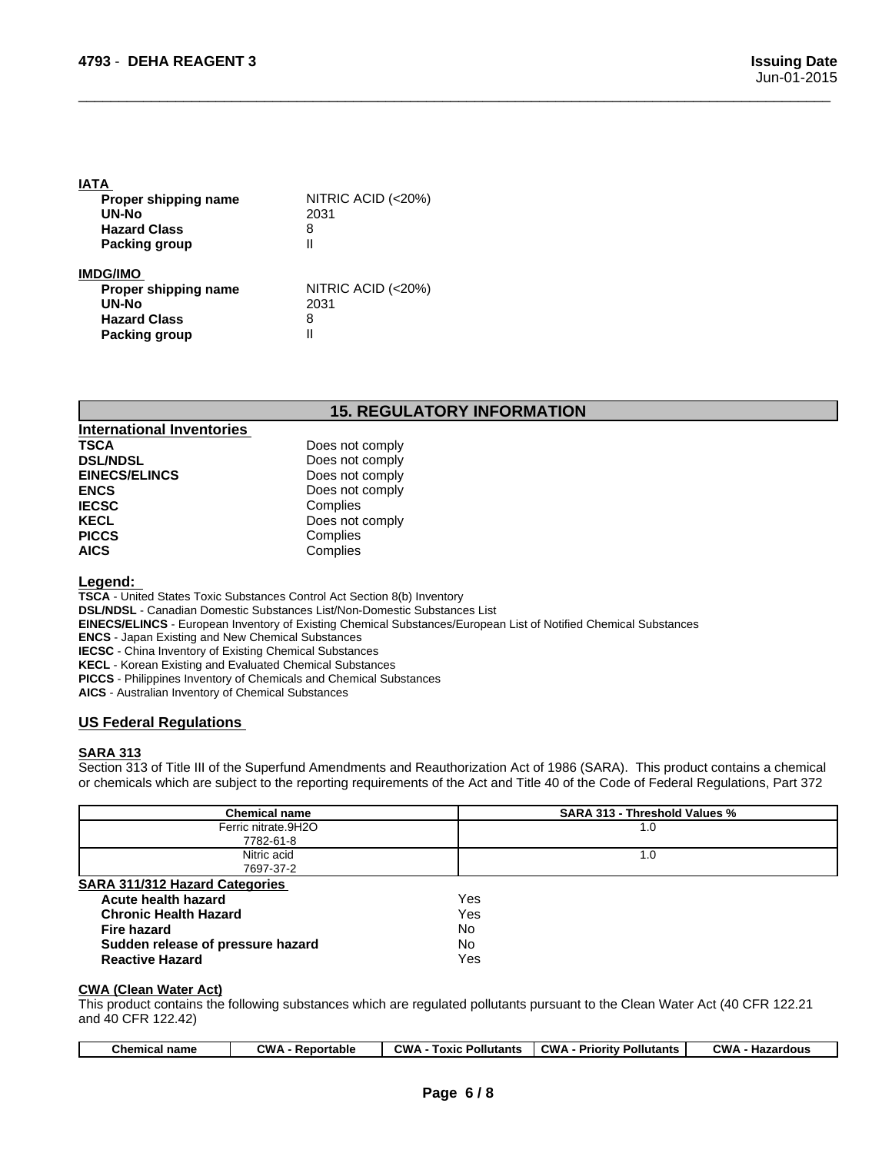### **IATA**

| Proper shipping name<br>UN-No | NITRIC ACID (<20%)<br>2031 |  |
|-------------------------------|----------------------------|--|
| <b>Hazard Class</b>           | 8                          |  |
| <b>Packing group</b>          |                            |  |
| IMDG/IMO                      |                            |  |
| Proper shipping name          | NITRIC ACID (<20%)         |  |
| UN-No                         | 2031                       |  |
| <b>Hazard Class</b>           | 8                          |  |
| Packing group                 |                            |  |

### **15. REGULATORY INFORMATION**

 $\overline{\phantom{a}}$  ,  $\overline{\phantom{a}}$  ,  $\overline{\phantom{a}}$  ,  $\overline{\phantom{a}}$  ,  $\overline{\phantom{a}}$  ,  $\overline{\phantom{a}}$  ,  $\overline{\phantom{a}}$  ,  $\overline{\phantom{a}}$  ,  $\overline{\phantom{a}}$  ,  $\overline{\phantom{a}}$  ,  $\overline{\phantom{a}}$  ,  $\overline{\phantom{a}}$  ,  $\overline{\phantom{a}}$  ,  $\overline{\phantom{a}}$  ,  $\overline{\phantom{a}}$  ,  $\overline{\phantom{a}}$ 

| <b>International Inventories</b> |                 |
|----------------------------------|-----------------|
| <b>TSCA</b>                      | Does not comply |
| <b>DSL/NDSL</b>                  | Does not comply |
| <b>EINECS/ELINCS</b>             | Does not comply |
| <b>ENCS</b>                      | Does not comply |
| <b>IECSC</b>                     | Complies        |
| <b>KECL</b>                      | Does not comply |
| <b>PICCS</b>                     | Complies        |
| <b>AICS</b>                      | Complies        |

### **Legend:**

**TSCA** - United States Toxic Substances Control Act Section 8(b) Inventory

**DSL/NDSL** - Canadian Domestic Substances List/Non-Domestic Substances List

- **EINECS/ELINCS**  European Inventory of Existing Chemical Substances/European List of Notified Chemical Substances
- **ENCS**  Japan Existing and New Chemical Substances

**IECSC** - China Inventory of Existing Chemical Substances

**KECL** - Korean Existing and Evaluated Chemical Substances

**PICCS** - Philippines Inventory of Chemicals and Chemical Substances

**AICS** - Australian Inventory of Chemical Substances

### **US Federal Regulations**

### **SARA 313**

Section 313 of Title III of the Superfund Amendments and Reauthorization Act of 1986 (SARA). This product contains a chemical or chemicals which are subject to the reporting requirements of the Act and Title 40 of the Code of Federal Regulations, Part 372

| <b>Chemical name</b>              | <b>SARA 313 - Threshold Values %</b> |
|-----------------------------------|--------------------------------------|
| Ferric nitrate.9H2O               | 1.0                                  |
| 7782-61-8                         |                                      |
| Nitric acid                       | 1.0                                  |
| 7697-37-2                         |                                      |
| SARA 311/312 Hazard Categories    |                                      |
| Acute health hazard               | Yes                                  |
| <b>Chronic Health Hazard</b>      | Yes                                  |
| Fire hazard                       | No.                                  |
| Sudden release of pressure hazard | No.                                  |
| <b>Reactive Hazard</b>            | Yes                                  |
|                                   |                                      |

#### **CWA** (Clean Water Act)

This product contains the following substances which are regulated pollutants pursuant to the Clean Water Act (40 CFR 122.21 and 40 CFR 122.42)

| CWA<br><b>CWA</b><br><b>CWA</b><br><b>CWW</b><br>and a series of the series of<br><b>Pollutants</b><br><b>Pollutants</b><br>Hazardous<br>name<br>Γοχις<br>Reportable<br>Priority<br>Chemical |
|----------------------------------------------------------------------------------------------------------------------------------------------------------------------------------------------|
|----------------------------------------------------------------------------------------------------------------------------------------------------------------------------------------------|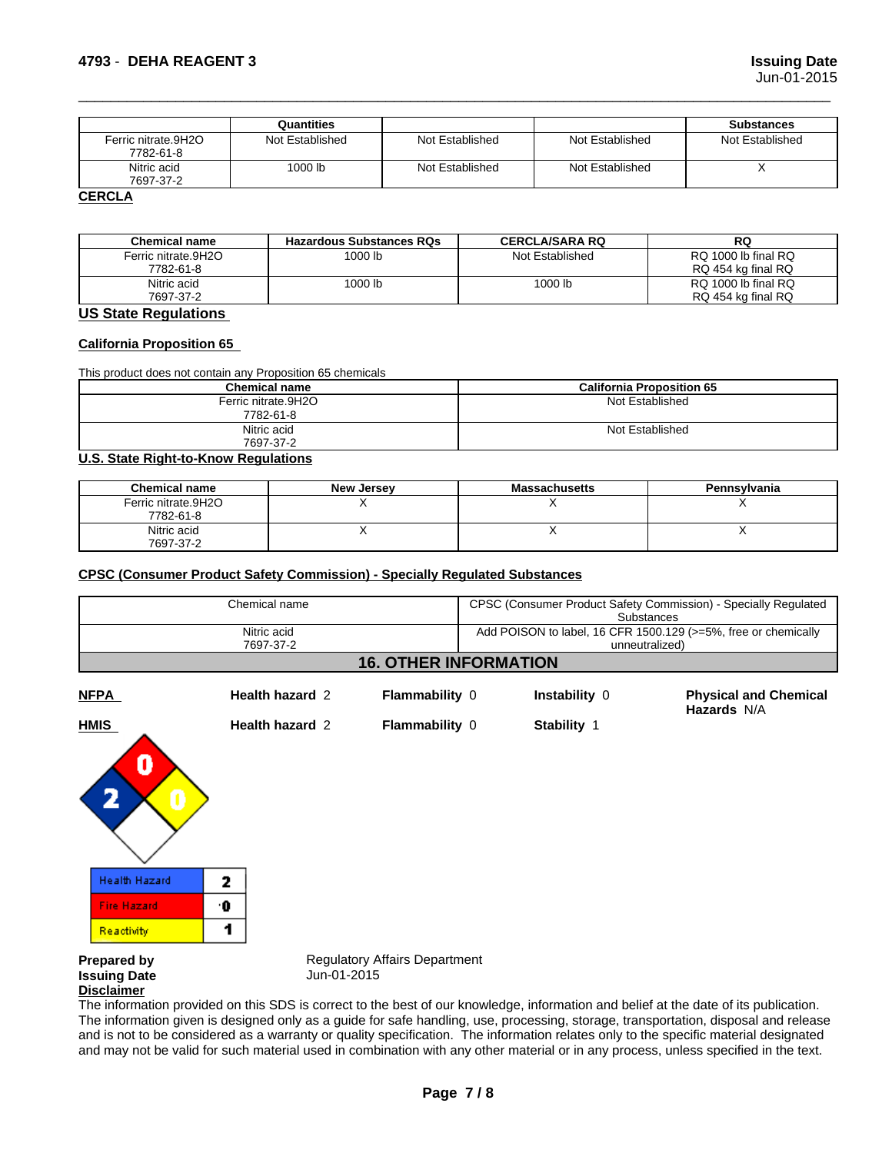|                     | Quantities      |                 |                 | <b>Substances</b> |
|---------------------|-----------------|-----------------|-----------------|-------------------|
| Ferric nitrate.9H2O | Not Established | Not Established | Not Established | Not Established   |
| 7782-61-8           |                 |                 |                 |                   |
| Nitric acid         | 1000 lb         | Not Established | Not Established |                   |
| 7697-37-2           |                 |                 |                 |                   |
| <b>CERCLA</b>       |                 |                 |                 |                   |

 $\overline{\phantom{a}}$  ,  $\overline{\phantom{a}}$  ,  $\overline{\phantom{a}}$  ,  $\overline{\phantom{a}}$  ,  $\overline{\phantom{a}}$  ,  $\overline{\phantom{a}}$  ,  $\overline{\phantom{a}}$  ,  $\overline{\phantom{a}}$  ,  $\overline{\phantom{a}}$  ,  $\overline{\phantom{a}}$  ,  $\overline{\phantom{a}}$  ,  $\overline{\phantom{a}}$  ,  $\overline{\phantom{a}}$  ,  $\overline{\phantom{a}}$  ,  $\overline{\phantom{a}}$  ,  $\overline{\phantom{a}}$ 

| <b>Chemical name</b> | <b>Hazardous Substances RQs</b> | <b>CERCLA/SARA RQ</b> | RQ                  |
|----------------------|---------------------------------|-----------------------|---------------------|
| Ferric nitrate.9H2O  | 1000 lb                         | Not Established       | RQ 1000 lb final RQ |
| 7782-61-8            |                                 |                       | RQ 454 kg final RQ  |
| Nitric acid          | 1000 lb                         | 1000 lb               | RQ 1000 lb final RQ |
| 7697-37-2            |                                 |                       | RQ 454 kg final RQ  |

### **US State Regulations**

### **California Proposition 65**

This product does not contain any Proposition 65 chemicals

| <b>California Proposition 65</b> |
|----------------------------------|
| Not Established                  |
|                                  |
| Not Established                  |
|                                  |
|                                  |

#### **U.S. State Right-to-Know Regulations**

| <b>Chemical name</b> | <b>New Jersey</b> | <b>Massachusetts</b> | <b>Pennsylvania</b> |
|----------------------|-------------------|----------------------|---------------------|
| Ferric nitrate.9H2O  |                   |                      |                     |
| 7782-61-8            |                   |                      |                     |
| Nitric acid          |                   |                      | . .                 |
| 7697-37-2            |                   |                      |                     |

#### **CPSC (Consumer Product Safety Commission) - Specially Regulated Substances**

| Chemical name<br>Nitric acid<br>7697-37-2 |                 |                       | CPSC (Consumer Product Safety Commission) - Specially Regulated<br>Substances<br>Add POISON to label, 16 CFR 1500.129 (>=5%, free or chemically<br>unneutralized) |                                                    |  |
|-------------------------------------------|-----------------|-----------------------|-------------------------------------------------------------------------------------------------------------------------------------------------------------------|----------------------------------------------------|--|
|                                           |                 |                       |                                                                                                                                                                   |                                                    |  |
| <b>NFPA</b>                               | Health hazard 2 | <b>Flammability 0</b> | Instability 0                                                                                                                                                     | <b>Physical and Chemical</b><br><b>Hazards N/A</b> |  |
| <b>HMIS</b>                               | Health hazard 2 | <b>Flammability 0</b> | Stability 1                                                                                                                                                       |                                                    |  |



**Issuing Date Disclaimer**

**Prepared by Sexty Regulatory Affairs Department Issuing Date**<br> **Regulatory Affairs Department** 

The information provided on this SDS is correct to the best of our knowledge, information and belief at the date of its publication. The information given is designed only as a guide for safe handling, use, processing, storage, transportation, disposal and release and is not to be considered as a warranty or quality specification. The information relates only to the specific material designated and may not be valid for such material used in combination with any other material or in any process, unless specified in the text.